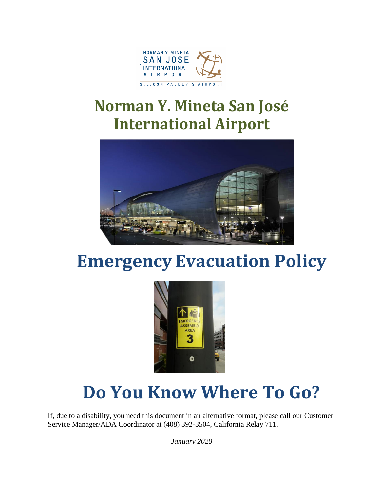

### **Norman Y. Mineta San José International Airport**



## **Emergency Evacuation Policy**



# **Do You Know Where To Go?**

If, due to a disability, you need this document in an alternative format, please call our Customer Service Manager/ADA Coordinator at (408) 392-3504, California Relay 711.

*January 2020*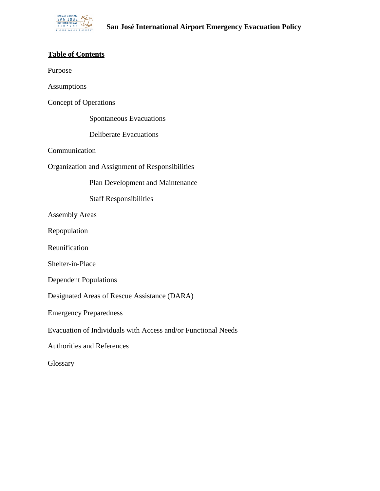

### **Table of Contents**

Purpose

| Assumptions                                                   |                                  |
|---------------------------------------------------------------|----------------------------------|
| <b>Concept of Operations</b>                                  |                                  |
|                                                               | Spontaneous Evacuations          |
| <b>Deliberate Evacuations</b>                                 |                                  |
| Communication                                                 |                                  |
| Organization and Assignment of Responsibilities               |                                  |
|                                                               | Plan Development and Maintenance |
| <b>Staff Responsibilities</b>                                 |                                  |
| <b>Assembly Areas</b>                                         |                                  |
| Repopulation                                                  |                                  |
| Reunification                                                 |                                  |
| Shelter-in-Place                                              |                                  |
| <b>Dependent Populations</b>                                  |                                  |
| Designated Areas of Rescue Assistance (DARA)                  |                                  |
| <b>Emergency Preparedness</b>                                 |                                  |
| Evacuation of Individuals with Access and/or Functional Needs |                                  |
| <b>Authorities and References</b>                             |                                  |
| Glossary                                                      |                                  |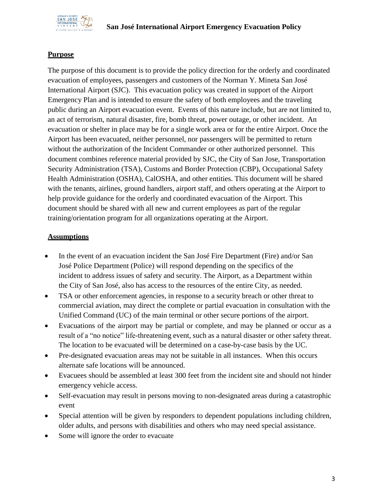

#### **Purpose**

The purpose of this document is to provide the policy direction for the orderly and coordinated evacuation of employees, passengers and customers of the Norman Y. Mineta San José International Airport (SJC). This evacuation policy was created in support of the Airport Emergency Plan and is intended to ensure the safety of both employees and the traveling public during an Airport evacuation event. Events of this nature include, but are not limited to, an act of terrorism, natural disaster, fire, bomb threat, power outage, or other incident. An evacuation or shelter in place may be for a single work area or for the entire Airport. Once the Airport has been evacuated, neither personnel, nor passengers will be permitted to return without the authorization of the Incident Commander or other authorized personnel. This document combines reference material provided by SJC, the City of San Jose, Transportation Security Administration (TSA), Customs and Border Protection (CBP), Occupational Safety Health Administration (OSHA), CalOSHA, and other entities. This document will be shared with the tenants, airlines, ground handlers, airport staff, and others operating at the Airport to help provide guidance for the orderly and coordinated evacuation of the Airport. This document should be shared with all new and current employees as part of the regular training/orientation program for all organizations operating at the Airport.

#### **Assumptions**

- In the event of an evacuation incident the San José Fire Department (Fire) and/or San José Police Department (Police) will respond depending on the specifics of the incident to address issues of safety and security. The Airport, as a Department within the City of San José, also has access to the resources of the entire City, as needed.
- TSA or other enforcement agencies, in response to a security breach or other threat to commercial aviation, may direct the complete or partial evacuation in consultation with the Unified Command (UC) of the main terminal or other secure portions of the airport.
- Evacuations of the airport may be partial or complete, and may be planned or occur as a result of a "no notice" life-threatening event, such as a natural disaster or other safety threat. The location to be evacuated will be determined on a case-by-case basis by the UC.
- Pre-designated evacuation areas may not be suitable in all instances. When this occurs alternate safe locations will be announced.
- Evacuees should be assembled at least 300 feet from the incident site and should not hinder emergency vehicle access.
- Self-evacuation may result in persons moving to non-designated areas during a catastrophic event
- Special attention will be given by responders to dependent populations including children, older adults, and persons with disabilities and others who may need special assistance.
- Some will ignore the order to evacuate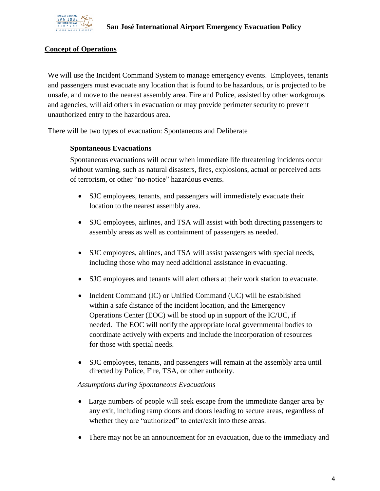

#### **Concept of Operations**

We will use the Incident Command System to manage emergency events. Employees, tenants and passengers must evacuate any location that is found to be hazardous, or is projected to be unsafe, and move to the nearest assembly area. Fire and Police, assisted by other workgroups and agencies, will aid others in evacuation or may provide perimeter security to prevent unauthorized entry to the hazardous area.

There will be two types of evacuation: Spontaneous and Deliberate

#### **Spontaneous Evacuations**

Spontaneous evacuations will occur when immediate life threatening incidents occur without warning, such as natural disasters, fires, explosions, actual or perceived acts of terrorism, or other "no-notice" hazardous events.

- SJC employees, tenants, and passengers will immediately evacuate their location to the nearest assembly area.
- SJC employees, airlines, and TSA will assist with both directing passengers to assembly areas as well as containment of passengers as needed.
- SJC employees, airlines, and TSA will assist passengers with special needs, including those who may need additional assistance in evacuating.
- SJC employees and tenants will alert others at their work station to evacuate.
- Incident Command (IC) or Unified Command (UC) will be established within a safe distance of the incident location, and the Emergency Operations Center (EOC) will be stood up in support of the IC/UC, if needed. The EOC will notify the appropriate local governmental bodies to coordinate actively with experts and include the incorporation of resources for those with special needs.
- SJC employees, tenants, and passengers will remain at the assembly area until directed by Police, Fire, TSA, or other authority.

#### *Assumptions during Spontaneous Evacuations*

- Large numbers of people will seek escape from the immediate danger area by any exit, including ramp doors and doors leading to secure areas, regardless of whether they are "authorized" to enter/exit into these areas.
- There may not be an announcement for an evacuation, due to the immediacy and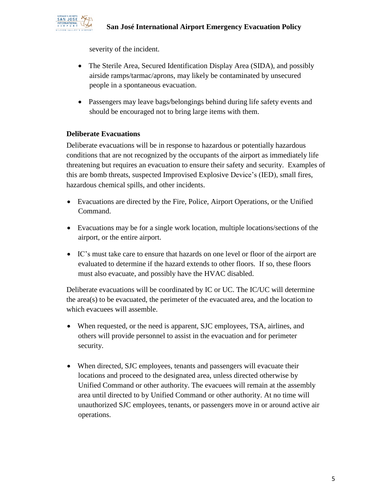

severity of the incident.

- The Sterile Area, Secured Identification Display Area (SIDA), and possibly airside ramps/tarmac/aprons, may likely be contaminated by unsecured people in a spontaneous evacuation.
- Passengers may leave bags/belongings behind during life safety events and should be encouraged not to bring large items with them.

#### **Deliberate Evacuations**

Deliberate evacuations will be in response to hazardous or potentially hazardous conditions that are not recognized by the occupants of the airport as immediately life threatening but requires an evacuation to ensure their safety and security. Examples of this are bomb threats, suspected Improvised Explosive Device's (IED), small fires, hazardous chemical spills, and other incidents.

- Evacuations are directed by the Fire, Police, Airport Operations, or the Unified Command.
- Evacuations may be for a single work location, multiple locations/sections of the airport, or the entire airport.
- IC's must take care to ensure that hazards on one level or floor of the airport are evaluated to determine if the hazard extends to other floors. If so, these floors must also evacuate, and possibly have the HVAC disabled.

Deliberate evacuations will be coordinated by IC or UC. The IC/UC will determine the area(s) to be evacuated, the perimeter of the evacuated area, and the location to which evacuees will assemble.

- When requested, or the need is apparent, SJC employees, TSA, airlines, and others will provide personnel to assist in the evacuation and for perimeter security.
- When directed, SJC employees, tenants and passengers will evacuate their locations and proceed to the designated area, unless directed otherwise by Unified Command or other authority. The evacuees will remain at the assembly area until directed to by Unified Command or other authority. At no time will unauthorized SJC employees, tenants, or passengers move in or around active air operations.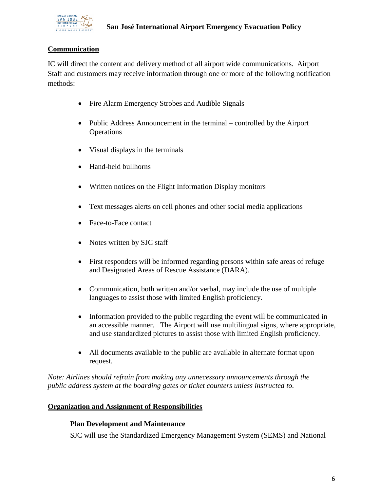

#### **Communication**

IC will direct the content and delivery method of all airport wide communications. Airport Staff and customers may receive information through one or more of the following notification methods:

- Fire Alarm Emergency Strobes and Audible Signals
- Public Address Announcement in the terminal controlled by the Airport **Operations**
- Visual displays in the terminals
- Hand-held bullhorns
- Written notices on the Flight Information Display monitors
- Text messages alerts on cell phones and other social media applications
- Face-to-Face contact
- Notes written by SJC staff
- First responders will be informed regarding persons within safe areas of refuge and Designated Areas of Rescue Assistance (DARA).
- Communication, both written and/or verbal, may include the use of multiple languages to assist those with limited English proficiency.
- Information provided to the public regarding the event will be communicated in an accessible manner. The Airport will use multilingual signs, where appropriate, and use standardized pictures to assist those with limited English proficiency.
- All documents available to the public are available in alternate format upon request.

*Note: Airlines should refrain from making any unnecessary announcements through the public address system at the boarding gates or ticket counters unless instructed to.*

#### **Organization and Assignment of Responsibilities**

#### **Plan Development and Maintenance**

SJC will use the Standardized Emergency Management System (SEMS) and National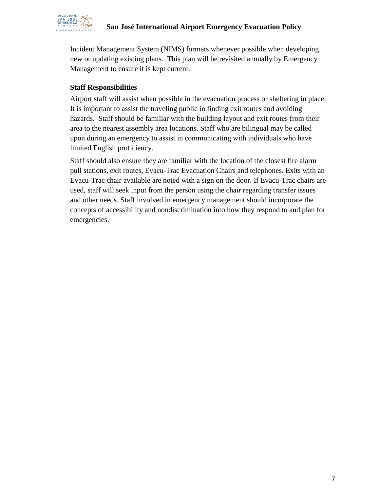

Incident Management System (NIMS) formats whenever possible when developing new or updating existing plans. This plan will be revisited annually by Emergency Management to ensure it is kept current.

#### **Staff Responsibilities**

Airport staff will assist when possible in the evacuation process or sheltering in place. It is important to assist the traveling public in finding exit routes and avoiding hazards. Staff should be familiar with the building layout and exit routes from their area to the nearest assembly area locations. Staff who are bilingual may be called upon during an emergency to assist in communicating with individuals who have limited English proficiency.

Staff should also ensure they are familiar with the location of the closest fire alarm pull stations, exit routes, Evacu-Trac Evacuation Chairs and telephones. Exits with an Evacu-Trac chair available are noted with a sign on the door. If Evacu-Trac chairs are used, staff will seek input from the person using the chair regarding transfer issues and other needs. Staff involved in emergency management should incorporate the concepts of accessibility and nondiscrimination into how they respond to and plan for emergencies.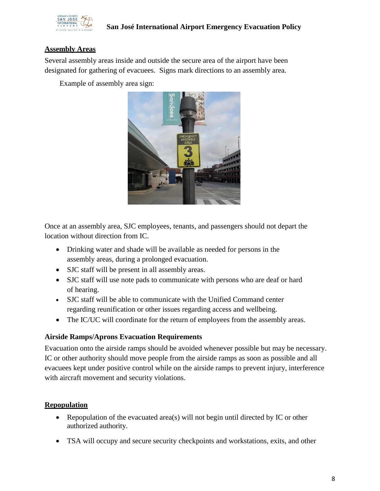

#### **Assembly Areas**

Several assembly areas inside and outside the secure area of the airport have been designated for gathering of evacuees. Signs mark directions to an assembly area.

Example of assembly area sign:



Once at an assembly area, SJC employees, tenants, and passengers should not depart the location without direction from IC.

- Drinking water and shade will be available as needed for persons in the assembly areas, during a prolonged evacuation.
- SJC staff will be present in all assembly areas.
- SJC staff will use note pads to communicate with persons who are deaf or hard of hearing.
- SJC staff will be able to communicate with the Unified Command center regarding reunification or other issues regarding access and wellbeing.
- The IC/UC will coordinate for the return of employees from the assembly areas.

#### **Airside Ramps/Aprons Evacuation Requirements**

Evacuation onto the airside ramps should be avoided whenever possible but may be necessary. IC or other authority should move people from the airside ramps as soon as possible and all evacuees kept under positive control while on the airside ramps to prevent injury, interference with aircraft movement and security violations.

#### **Repopulation**

- Repopulation of the evacuated area(s) will not begin until directed by IC or other authorized authority.
- TSA will occupy and secure security checkpoints and workstations, exits, and other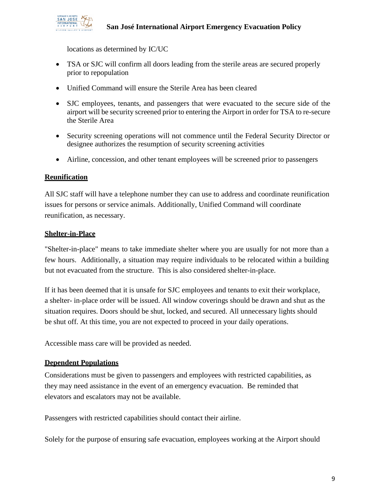

locations as determined by IC/UC

- TSA or SJC will confirm all doors leading from the sterile areas are secured properly prior to repopulation
- Unified Command will ensure the Sterile Area has been cleared
- SJC employees, tenants, and passengers that were evacuated to the secure side of the airport will be security screened prior to entering the Airport in order for TSA to re-secure the Sterile Area
- Security screening operations will not commence until the Federal Security Director or designee authorizes the resumption of security screening activities
- Airline, concession, and other tenant employees will be screened prior to passengers

#### **Reunification**

All SJC staff will have a telephone number they can use to address and coordinate reunification issues for persons or service animals. Additionally, Unified Command will coordinate reunification, as necessary.

#### **Shelter-in-Place**

"Shelter-in-place" means to take immediate shelter where you are usually for not more than a few hours. Additionally, a situation may require individuals to be relocated within a building but not evacuated from the structure. This is also considered shelter-in-place.

If it has been deemed that it is unsafe for SJC employees and tenants to exit their workplace, a shelter- in-place order will be issued. All window coverings should be drawn and shut as the situation requires. Doors should be shut, locked, and secured. All unnecessary lights should be shut off. At this time, you are not expected to proceed in your daily operations.

Accessible mass care will be provided as needed.

#### **Dependent Populations**

Considerations must be given to passengers and employees with restricted capabilities, as they may need assistance in the event of an emergency evacuation. Be reminded that elevators and escalators may not be available.

Passengers with restricted capabilities should contact their airline.

Solely for the purpose of ensuring safe evacuation, employees working at the Airport should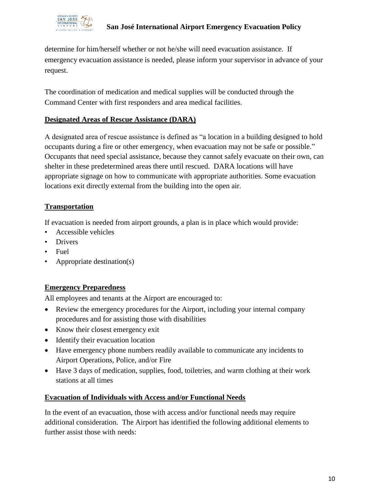

determine for him/herself whether or not he/she will need evacuation assistance. If emergency evacuation assistance is needed, please inform your supervisor in advance of your request.

The coordination of medication and medical supplies will be conducted through the Command Center with first responders and area medical facilities.

#### **Designated Areas of Rescue Assistance (DARA)**

A designated area of rescue assistance is defined as "a location in a building designed to hold occupants during a fire or other emergency, when evacuation may not be safe or possible." Occupants that need special assistance, because they cannot safely evacuate on their own, can shelter in these predetermined areas there until rescued. DARA locations will have appropriate signage on how to communicate with appropriate authorities. Some evacuation locations exit directly external from the building into the open air.

#### **Transportation**

If evacuation is needed from airport grounds, a plan is in place which would provide:

- Accessible vehicles
- Drivers
- Fuel
- Appropriate destination(s)

#### **Emergency Preparedness**

All employees and tenants at the Airport are encouraged to:

- Review the emergency procedures for the Airport, including your internal company procedures and for assisting those with disabilities
- Know their closest emergency exit
- Identify their evacuation location
- Have emergency phone numbers readily available to communicate any incidents to Airport Operations, Police, and/or Fire
- Have 3 days of medication, supplies, food, toiletries, and warm clothing at their work stations at all times

#### **Evacuation of Individuals with Access and/or Functional Needs**

In the event of an evacuation, those with access and/or functional needs may require additional consideration. The Airport has identified the following additional elements to further assist those with needs: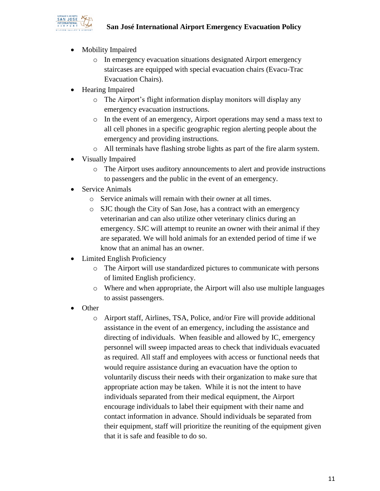

- Mobility Impaired
	- o In emergency evacuation situations designated Airport emergency staircases are equipped with special evacuation chairs (Evacu-Trac Evacuation Chairs).
- Hearing Impaired
	- o The Airport's flight information display monitors will display any emergency evacuation instructions.
	- o In the event of an emergency, Airport operations may send a mass text to all cell phones in a specific geographic region alerting people about the emergency and providing instructions.
	- o All terminals have flashing strobe lights as part of the fire alarm system.
- Visually Impaired
	- o The Airport uses auditory announcements to alert and provide instructions to passengers and the public in the event of an emergency.
- **Service Animals** 
	- o Service animals will remain with their owner at all times.
	- o SJC though the City of San Jose, has a contract with an emergency veterinarian and can also utilize other veterinary clinics during an emergency. SJC will attempt to reunite an owner with their animal if they are separated. We will hold animals for an extended period of time if we know that an animal has an owner.
- Limited English Proficiency
	- o The Airport will use standardized pictures to communicate with persons of limited English proficiency.
	- o Where and when appropriate, the Airport will also use multiple languages to assist passengers.
- Other
	- o Airport staff, Airlines, TSA, Police, and/or Fire will provide additional assistance in the event of an emergency, including the assistance and directing of individuals. When feasible and allowed by IC, emergency personnel will sweep impacted areas to check that individuals evacuated as required. All staff and employees with access or functional needs that would require assistance during an evacuation have the option to voluntarily discuss their needs with their organization to make sure that appropriate action may be taken. While it is not the intent to have individuals separated from their medical equipment, the Airport encourage individuals to label their equipment with their name and contact information in advance. Should individuals be separated from their equipment, staff will prioritize the reuniting of the equipment given that it is safe and feasible to do so.